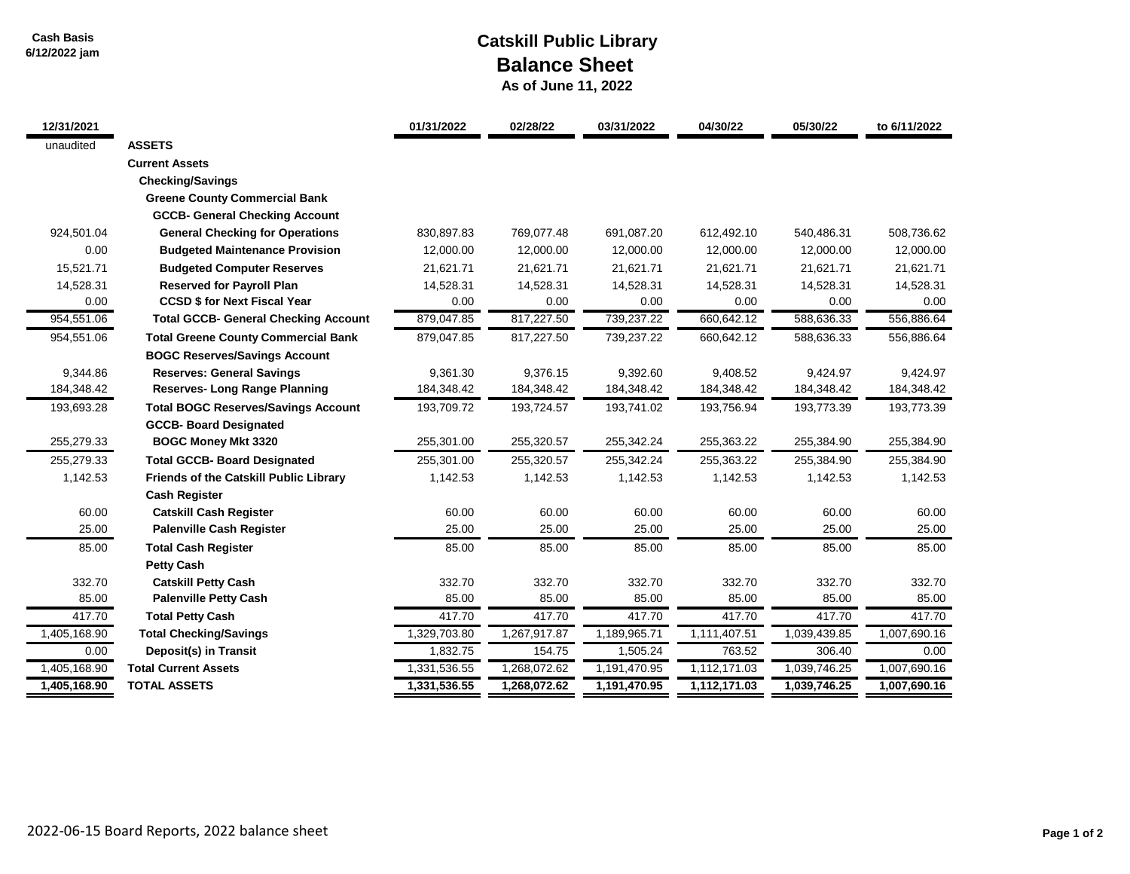**Cash Basis 6/12/2022 jam**

## **Catskill Public Library Balance Sheet**

 **As of June 11, 2022**

| 12/31/2021   |                                               | 01/31/2022   | 02/28/22     | 03/31/2022   | 04/30/22     | 05/30/22     | to 6/11/2022 |
|--------------|-----------------------------------------------|--------------|--------------|--------------|--------------|--------------|--------------|
| unaudited    | <b>ASSETS</b>                                 |              |              |              |              |              |              |
|              | <b>Current Assets</b>                         |              |              |              |              |              |              |
|              | <b>Checking/Savings</b>                       |              |              |              |              |              |              |
|              | <b>Greene County Commercial Bank</b>          |              |              |              |              |              |              |
|              | <b>GCCB- General Checking Account</b>         |              |              |              |              |              |              |
| 924,501.04   | <b>General Checking for Operations</b>        | 830,897.83   | 769,077.48   | 691,087.20   | 612,492.10   | 540,486.31   | 508,736.62   |
| 0.00         | <b>Budgeted Maintenance Provision</b>         | 12,000.00    | 12,000.00    | 12,000.00    | 12,000.00    | 12,000.00    | 12,000.00    |
| 15,521.71    | <b>Budgeted Computer Reserves</b>             | 21,621.71    | 21,621.71    | 21,621.71    | 21,621.71    | 21,621.71    | 21,621.71    |
| 14,528.31    | <b>Reserved for Payroll Plan</b>              | 14,528.31    | 14,528.31    | 14,528.31    | 14,528.31    | 14,528.31    | 14,528.31    |
| 0.00         | <b>CCSD \$ for Next Fiscal Year</b>           | 0.00         | 0.00         | 0.00         | 0.00         | 0.00         | 0.00         |
| 954,551.06   | <b>Total GCCB- General Checking Account</b>   | 879,047.85   | 817,227.50   | 739,237.22   | 660,642.12   | 588,636.33   | 556,886.64   |
| 954,551.06   | <b>Total Greene County Commercial Bank</b>    | 879,047.85   | 817,227.50   | 739,237.22   | 660.642.12   | 588,636.33   | 556,886.64   |
|              | <b>BOGC Reserves/Savings Account</b>          |              |              |              |              |              |              |
| 9,344.86     | <b>Reserves: General Savings</b>              | 9,361.30     | 9,376.15     | 9,392.60     | 9,408.52     | 9,424.97     | 9,424.97     |
| 184,348.42   | <b>Reserves-Long Range Planning</b>           | 184,348.42   | 184,348.42   | 184,348.42   | 184,348.42   | 184,348.42   | 184,348.42   |
| 193,693.28   | <b>Total BOGC Reserves/Savings Account</b>    | 193,709.72   | 193,724.57   | 193,741.02   | 193,756.94   | 193,773.39   | 193,773.39   |
|              | <b>GCCB- Board Designated</b>                 |              |              |              |              |              |              |
| 255,279.33   | <b>BOGC Money Mkt 3320</b>                    | 255,301.00   | 255,320.57   | 255,342.24   | 255,363.22   | 255,384.90   | 255,384.90   |
| 255,279.33   | <b>Total GCCB- Board Designated</b>           | 255,301.00   | 255,320.57   | 255,342.24   | 255,363.22   | 255,384.90   | 255,384.90   |
| 1,142.53     | <b>Friends of the Catskill Public Library</b> | 1,142.53     | 1,142.53     | 1,142.53     | 1,142.53     | 1,142.53     | 1,142.53     |
|              | <b>Cash Register</b>                          |              |              |              |              |              |              |
| 60.00        | <b>Catskill Cash Register</b>                 | 60.00        | 60.00        | 60.00        | 60.00        | 60.00        | 60.00        |
| 25.00        | <b>Palenville Cash Register</b>               | 25.00        | 25.00        | 25.00        | 25.00        | 25.00        | 25.00        |
| 85.00        | <b>Total Cash Register</b>                    | 85.00        | 85.00        | 85.00        | 85.00        | 85.00        | 85.00        |
|              | <b>Petty Cash</b>                             |              |              |              |              |              |              |
| 332.70       | <b>Catskill Petty Cash</b>                    | 332.70       | 332.70       | 332.70       | 332.70       | 332.70       | 332.70       |
| 85.00        | <b>Palenville Petty Cash</b>                  | 85.00        | 85.00        | 85.00        | 85.00        | 85.00        | 85.00        |
| 417.70       | <b>Total Petty Cash</b>                       | 417.70       | 417.70       | 417.70       | 417.70       | 417.70       | 417.70       |
| 1,405,168.90 | <b>Total Checking/Savings</b>                 | 1,329,703.80 | 1,267,917.87 | 1,189,965.71 | 1,111,407.51 | 1,039,439.85 | 1,007,690.16 |
| 0.00         | Deposit(s) in Transit                         | 1,832.75     | 154.75       | 1,505.24     | 763.52       | 306.40       | 0.00         |
| 1,405,168.90 | <b>Total Current Assets</b>                   | 1,331,536.55 | 1,268,072.62 | 1,191,470.95 | 1,112,171.03 | 1,039,746.25 | 1,007,690.16 |
| 1,405,168.90 | <b>TOTAL ASSETS</b>                           | 1,331,536.55 | 1,268,072.62 | 1,191,470.95 | 1,112,171.03 | 1,039,746.25 | 1,007,690.16 |